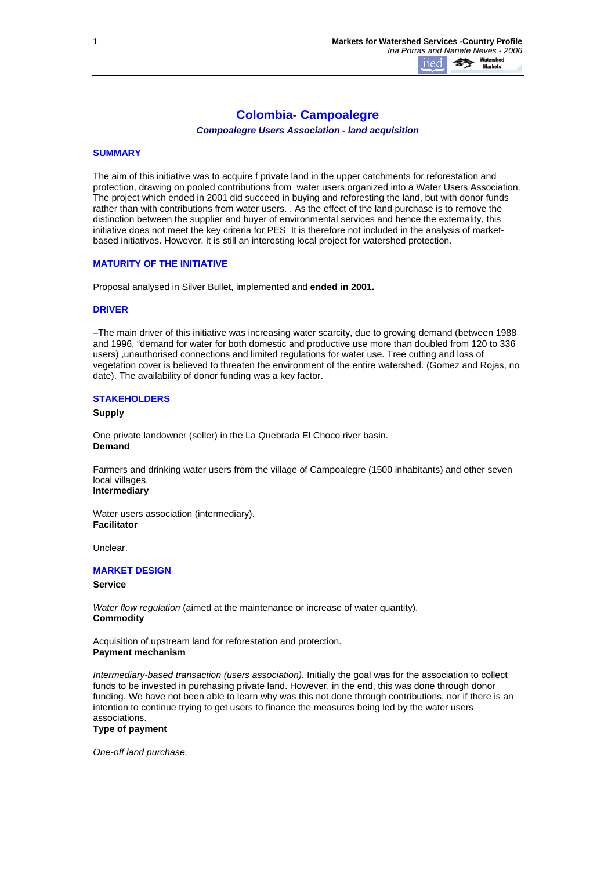# **Colombia- Campoalegre**

*Compoalegre Users Association - land acquisition* 

## **SUMMARY**

The aim of this initiative was to acquire f private land in the upper catchments for reforestation and protection, drawing on pooled contributions from water users organized into a Water Users Association. The project which ended in 2001 did succeed in buying and reforesting the land, but with donor funds rather than with contributions from water users. . As the effect of the land purchase is to remove the distinction between the supplier and buyer of environmental services and hence the externality, this initiative does not meet the key criteria for PES It is therefore not included in the analysis of marketbased initiatives. However, it is still an interesting local project for watershed protection.

## **MATURITY OF THE INITIATIVE**

Proposal analysed in Silver Bullet, implemented and **ended in 2001.**

## **DRIVER**

–The main driver of this initiative was increasing water scarcity, due to growing demand (between 1988 and 1996, "demand for water for both domestic and productive use more than doubled from 120 to 336 users) ,unauthorised connections and limited regulations for water use. Tree cutting and loss of vegetation cover is believed to threaten the environment of the entire watershed. (Gomez and Rojas, no date). The availability of donor funding was a key factor.

#### **STAKEHOLDERS**

## **Supply**

One private landowner (seller) in the La Quebrada El Choco river basin. **Demand**

Farmers and drinking water users from the village of Campoalegre (1500 inhabitants) and other seven local villages.

# **Intermediary**

Water users association (intermediary). **Facilitator**

Unclear.

# **MARKET DESIGN**

### **Service**

*Water flow regulation* (aimed at the maintenance or increase of water quantity). **Commodity**

Acquisition of upstream land for reforestation and protection. **Payment mechanism**

*Intermediary-based transaction (users association).* Initially the goal was for the association to collect funds to be invested in purchasing private land. However, in the end, this was done through donor funding. We have not been able to learn why was this not done through contributions, nor if there is an intention to continue trying to get users to finance the measures being led by the water users associations.

# **Type of payment**

*One-off land purchase.*